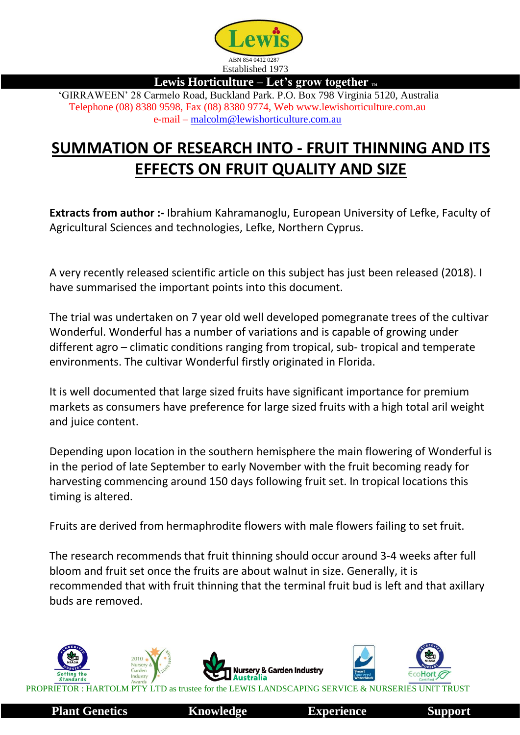

**Lewis Horticulture – Let's grow together TM**

'GIRRAWEEN' 28 Carmelo Road, Buckland Park. P.O. Box 798 Virginia 5120, Australia Telephone (08) 8380 9598, Fax (08) 8380 9774, Web www.lewishorticulture.com.au e-mail – [malcolm@lewishorticulture.com.au](mailto:malcolm@lewishorticulture.com.au)

## **SUMMATION OF RESEARCH INTO - FRUIT THINNING AND ITS EFFECTS ON FRUIT QUALITY AND SIZE**

**Extracts from author :-** Ibrahium Kahramanoglu, European University of Lefke, Faculty of Agricultural Sciences and technologies, Lefke, Northern Cyprus.

A very recently released scientific article on this subject has just been released (2018). I have summarised the important points into this document.

The trial was undertaken on 7 year old well developed pomegranate trees of the cultivar Wonderful. Wonderful has a number of variations and is capable of growing under different agro – climatic conditions ranging from tropical, sub- tropical and temperate environments. The cultivar Wonderful firstly originated in Florida.

It is well documented that large sized fruits have significant importance for premium markets as consumers have preference for large sized fruits with a high total aril weight and juice content.

Depending upon location in the southern hemisphere the main flowering of Wonderful is in the period of late September to early November with the fruit becoming ready for harvesting commencing around 150 days following fruit set. In tropical locations this timing is altered.

Fruits are derived from hermaphrodite flowers with male flowers failing to set fruit.

The research recommends that fruit thinning should occur around 3-4 weeks after full bloom and fruit set once the fruits are about walnut in size. Generally, it is recommended that with fruit thinning that the terminal fruit bud is left and that axillary buds are removed.